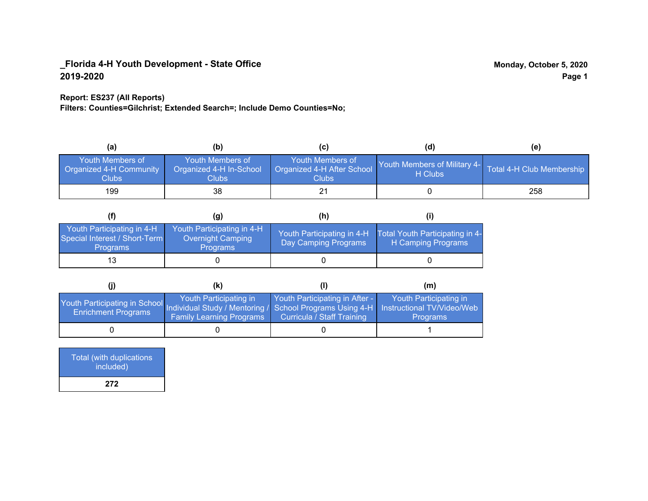#### **Report: ES237 (All Reports)**

**Filters: Counties=Gilchrist; Extended Search=; Include Demo Counties=No;**

| (a)                                                                | (b)                                                  | (C)                                                            | (d)                                                               | (e) |
|--------------------------------------------------------------------|------------------------------------------------------|----------------------------------------------------------------|-------------------------------------------------------------------|-----|
| <b>Youth Members of</b><br><b>Organized 4-H Community</b><br>Clubs | Youth Members of<br>Organized 4-H In-School<br>Clubs | Youth Members of<br>Organized 4-H After School<br><b>Clubs</b> | Youth Members of Military 4- Total 4-H Club Membership<br>H Clubs |     |
| 199                                                                | 38                                                   |                                                                |                                                                   | 258 |

|                                                                                | (g)                                                                | (h)                                                |                                                       |
|--------------------------------------------------------------------------------|--------------------------------------------------------------------|----------------------------------------------------|-------------------------------------------------------|
| Youth Participating in 4-H<br>Special Interest / Short-Term<br><b>Programs</b> | Youth Participating in 4-H<br>Overnight Camping<br><b>Programs</b> | Youth Participating in 4-H<br>Day Camping Programs | Total Youth Participating in 4-<br>H Camping Programs |
|                                                                                |                                                                    |                                                    |                                                       |

|                                                                                                                                                 | (K)                                                       |                                                              | (m)                                       |
|-------------------------------------------------------------------------------------------------------------------------------------------------|-----------------------------------------------------------|--------------------------------------------------------------|-------------------------------------------|
| Youth Participating in School Individual Study / Mentoring / School Programs Using 4-H Instructional TV/Video/Web<br><b>Enrichment Programs</b> | Youth Participating in<br><b>Family Learning Programs</b> | Youth Participating in After -<br>Curricula / Staff Training | Youth Participating in<br><b>Programs</b> |
|                                                                                                                                                 |                                                           |                                                              |                                           |

| <b>Total (with duplications)</b><br>included) |  |
|-----------------------------------------------|--|
| 272                                           |  |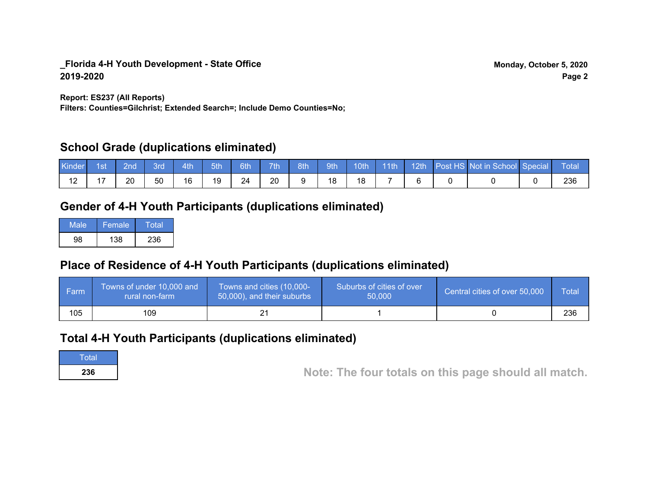**Report: ES237 (All Reports)**

**Filters: Counties=Gilchrist; Extended Search=; Include Demo Counties=No;**

## **School Grade (duplications eliminated)**

| Kinder | l 1sti | 2nd | 3rd | 4th | 5th | 6th | 7 <sup>th</sup> | 8th | 9th | 10 <sup>th</sup> | $\parallel$ 11th | 12th | Post HS Not in School Special | Total |
|--------|--------|-----|-----|-----|-----|-----|-----------------|-----|-----|------------------|------------------|------|-------------------------------|-------|
| . .    | . –    | 20  | 50  | 16  | 19  | 24  | 20              |     | 18  | 18               |                  |      |                               | 236   |

# **Gender of 4-H Youth Participants (duplications eliminated)**

| Male | Female | Total |
|------|--------|-------|
| QЯ   | 138    | 236   |

# **Place of Residence of 4-H Youth Participants (duplications eliminated)**

| l Farm | Towns of under 10,000 and<br>rural non-farm | Towns and cities (10,000-<br>50,000), and their suburbs | Suburbs of cities of over<br>50,000 | Central cities of over 50,000 | Total |
|--------|---------------------------------------------|---------------------------------------------------------|-------------------------------------|-------------------------------|-------|
| 105    | 109                                         |                                                         |                                     |                               | 236   |

# **Total 4-H Youth Participants (duplications eliminated)**

**Total** 

**<sup>236</sup> Note: The four totals on this page should all match.**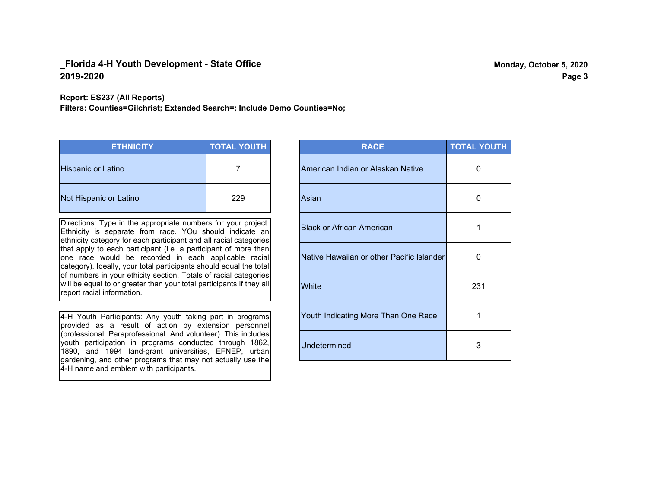**Report: ES237 (All Reports)**

**Filters: Counties=Gilchrist; Extended Search=; Include Demo Counties=No;**

| <b>ETHNICITY</b>          | <b>TOTAL YOUTH</b> |
|---------------------------|--------------------|
| <b>Hispanic or Latino</b> |                    |
| Not Hispanic or Latino    | 229                |

Directions: Type in the appropriate numbers for your project. Ethnicity is separate from race. YOu should indicate an ethnicity category for each participant and all racial categories that apply to each participant (i.e. a participant of more than one race would be recorded in each applicable racial category). Ideally, your total participants should equal the total of numbers in your ethicity section. Totals of racial categories will be equal to or greater than your total participants if they all report racial information.

4-H Youth Participants: Any youth taking part in programs provided as a result of action by extension personnel (professional. Paraprofessional. And volunteer). This includes youth participation in programs conducted through 1862, 1890, and 1994 land-grant universities, EFNEP, urban gardening, and other programs that may not actually use the 4-H name and emblem with participants.

| <b>RACE</b>                               | <b>TOTAL YOUTH</b> |
|-------------------------------------------|--------------------|
| American Indian or Alaskan Native         | O                  |
| Asian                                     | U                  |
| <b>Black or African American</b>          | 1                  |
| Native Hawaiian or other Pacific Islander | O                  |
| White                                     | 231                |
| Youth Indicating More Than One Race       | 1                  |
| <b>Undetermined</b>                       | 3                  |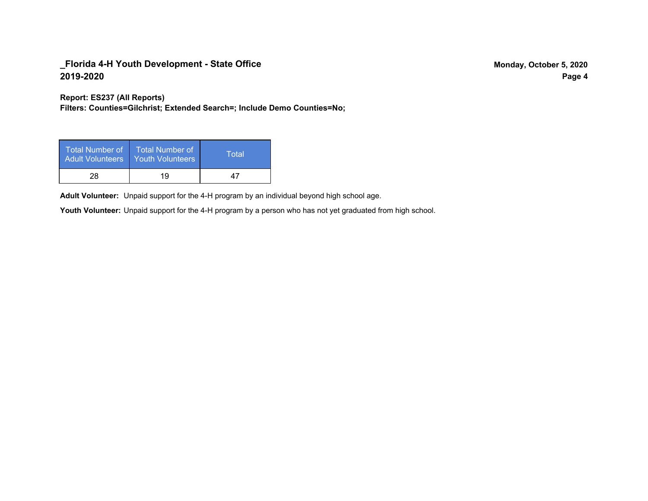**Report: ES237 (All Reports)**

**Filters: Counties=Gilchrist; Extended Search=; Include Demo Counties=No;**

| Total Number of<br><b>Adult Volunteers</b> | <b>Total Number of</b><br><b>Youth Volunteers</b> | Total |
|--------------------------------------------|---------------------------------------------------|-------|
| 28                                         | 19                                                | 47    |

Adult Volunteer: Unpaid support for the 4-H program by an individual beyond high school age.

Youth Volunteer: Unpaid support for the 4-H program by a person who has not yet graduated from high school.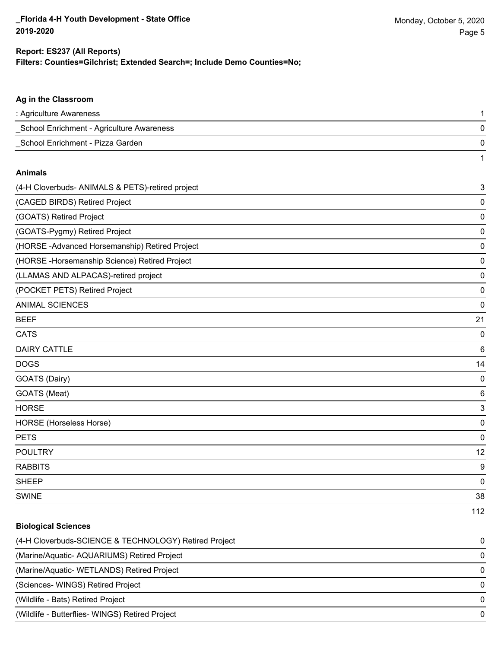1

### **Filters: Counties=Gilchrist; Extended Search=; Include Demo Counties=No; Report: ES237 (All Reports)**

### **Ag in the Classroom**

| : Agriculture Awareness                   |  |
|-------------------------------------------|--|
| School Enrichment - Agriculture Awareness |  |
| School Enrichment - Pizza Garden          |  |

#### **Animals**

| (4-H Cloverbuds- ANIMALS & PETS)-retired project | 3   |
|--------------------------------------------------|-----|
| (CAGED BIRDS) Retired Project                    | 0   |
| (GOATS) Retired Project                          | 0   |
| (GOATS-Pygmy) Retired Project                    | 0   |
| (HORSE-Advanced Horsemanship) Retired Project    | 0   |
| (HORSE - Horsemanship Science) Retired Project   | 0   |
| (LLAMAS AND ALPACAS)-retired project             | 0   |
| (POCKET PETS) Retired Project                    | 0   |
| <b>ANIMAL SCIENCES</b>                           | 0   |
| <b>BEEF</b>                                      | 21  |
| <b>CATS</b>                                      | 0   |
| <b>DAIRY CATTLE</b>                              | 6   |
| <b>DOGS</b>                                      | 14  |
| GOATS (Dairy)                                    | 0   |
| GOATS (Meat)                                     | 6   |
| <b>HORSE</b>                                     | 3   |
| HORSE (Horseless Horse)                          | 0   |
| <b>PETS</b>                                      | 0   |
| <b>POULTRY</b>                                   | 12  |
| <b>RABBITS</b>                                   | 9   |
| <b>SHEEP</b>                                     | 0   |
| <b>SWINE</b>                                     | 38  |
|                                                  | 112 |

#### **Biological Sciences**

| (4-H Cloverbuds-SCIENCE & TECHNOLOGY) Retired Project | $\Omega$ |
|-------------------------------------------------------|----------|
| (Marine/Aquatic- AQUARIUMS) Retired Project           | $\Omega$ |
| (Marine/Aquatic-WETLANDS) Retired Project             | $\Omega$ |
| (Sciences- WINGS) Retired Project                     | $\Omega$ |
| (Wildlife - Bats) Retired Project                     | $\Omega$ |
| (Wildlife - Butterflies- WINGS) Retired Project       | $\Omega$ |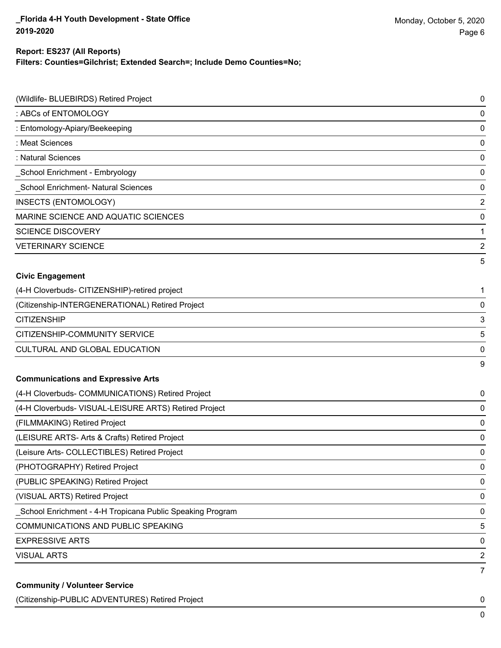#### **Report: ES237 (All Reports)**

**Filters: Counties=Gilchrist; Extended Search=; Include Demo Counties=No;**

| (Wildlife- BLUEBIRDS) Retired Project                     | $\pmb{0}$      |
|-----------------------------------------------------------|----------------|
| : ABCs of ENTOMOLOGY                                      | $\mathbf 0$    |
| : Entomology-Apiary/Beekeeping                            | $\mathbf 0$    |
| : Meat Sciences                                           | 0              |
| : Natural Sciences                                        | $\mathbf 0$    |
| School Enrichment - Embryology                            | $\mathbf 0$    |
| School Enrichment- Natural Sciences                       | $\mathbf 0$    |
| INSECTS (ENTOMOLOGY)                                      | $\overline{2}$ |
| MARINE SCIENCE AND AQUATIC SCIENCES                       | $\mathbf 0$    |
| <b>SCIENCE DISCOVERY</b>                                  | 1              |
| <b>VETERINARY SCIENCE</b>                                 | $\overline{2}$ |
|                                                           | 5              |
| <b>Civic Engagement</b>                                   |                |
| (4-H Cloverbuds- CITIZENSHIP)-retired project             | 1              |
| (Citizenship-INTERGENERATIONAL) Retired Project           | $\mathbf 0$    |
| <b>CITIZENSHIP</b>                                        | 3              |
| CITIZENSHIP-COMMUNITY SERVICE                             | 5              |
| CULTURAL AND GLOBAL EDUCATION                             | 0              |
|                                                           | 9              |
| <b>Communications and Expressive Arts</b>                 |                |
| (4-H Cloverbuds- COMMUNICATIONS) Retired Project          | 0              |
| (4-H Cloverbuds- VISUAL-LEISURE ARTS) Retired Project     | 0              |
| (FILMMAKING) Retired Project                              | $\mathbf 0$    |
| (LEISURE ARTS- Arts & Crafts) Retired Project             | 0              |
| (Leisure Arts- COLLECTIBLES) Retired Project              | $\mathbf 0$    |
| (PHOTOGRAPHY) Retired Project                             | $\pmb{0}$      |
| (PUBLIC SPEAKING) Retired Project                         | 0              |
| (VISUAL ARTS) Retired Project                             | $\pmb{0}$      |
| School Enrichment - 4-H Tropicana Public Speaking Program | 0              |
| <b>COMMUNICATIONS AND PUBLIC SPEAKING</b>                 | 5              |
| <b>EXPRESSIVE ARTS</b>                                    | 0              |
| <b>VISUAL ARTS</b>                                        | $\overline{2}$ |
| <b>Community / Volunteer Service</b>                      | $\overline{7}$ |

(Citizenship-PUBLIC ADVENTURES) Retired Project 0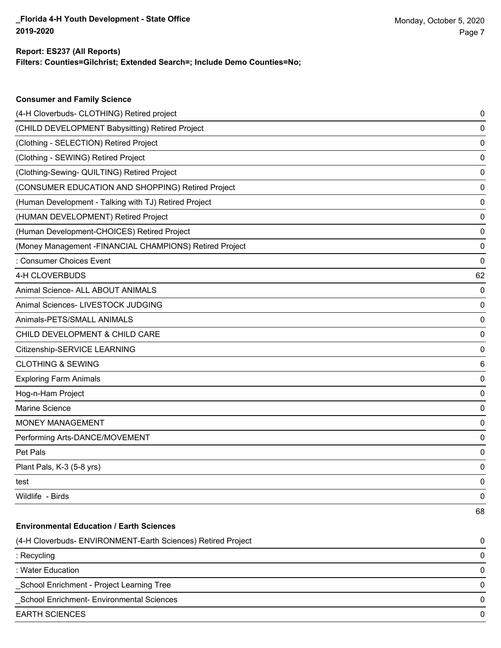**Consumer and Family Science**

#### **Filters: Counties=Gilchrist; Extended Search=; Include Demo Counties=No; Report: ES237 (All Reports)**

| (4-H Cloverbuds- CLOTHING) Retired project                   | 0  |
|--------------------------------------------------------------|----|
| (CHILD DEVELOPMENT Babysitting) Retired Project              | 0  |
| (Clothing - SELECTION) Retired Project                       | 0  |
| (Clothing - SEWING) Retired Project                          | 0  |
| (Clothing-Sewing- QUILTING) Retired Project                  | 0  |
| (CONSUMER EDUCATION AND SHOPPING) Retired Project            | 0  |
| (Human Development - Talking with TJ) Retired Project        | 0  |
| (HUMAN DEVELOPMENT) Retired Project                          | 0  |
| (Human Development-CHOICES) Retired Project                  | 0  |
| (Money Management -FINANCIAL CHAMPIONS) Retired Project      | 0  |
| : Consumer Choices Event                                     | 0  |
| 4-H CLOVERBUDS                                               | 62 |
| Animal Science- ALL ABOUT ANIMALS                            | 0  |
| Animal Sciences- LIVESTOCK JUDGING                           | 0  |
| Animals-PETS/SMALL ANIMALS                                   | 0  |
| CHILD DEVELOPMENT & CHILD CARE                               | 0  |
| Citizenship-SERVICE LEARNING                                 | 0  |
| <b>CLOTHING &amp; SEWING</b>                                 | 6  |
| <b>Exploring Farm Animals</b>                                | 0  |
| Hog-n-Ham Project                                            | 0  |
| Marine Science                                               | 0  |
| MONEY MANAGEMENT                                             | 0  |
| Performing Arts-DANCE/MOVEMENT                               | 0  |
| Pet Pals                                                     | 0  |
| Plant Pals, K-3 (5-8 yrs)                                    | 0  |
| test                                                         | 0  |
| Wildlife - Birds                                             | 0  |
|                                                              | 68 |
| <b>Environmental Education / Earth Sciences</b>              |    |
| (4-H Cloverbuds- ENVIRONMENT-Earth Sciences) Retired Project | 0  |
| : Recycling                                                  | 0  |
| : Water Education                                            | 0  |
| School Enrichment - Project Learning Tree                    | 0  |
| School Enrichment- Environmental Sciences                    | 0  |
| <b>EARTH SCIENCES</b>                                        | 0  |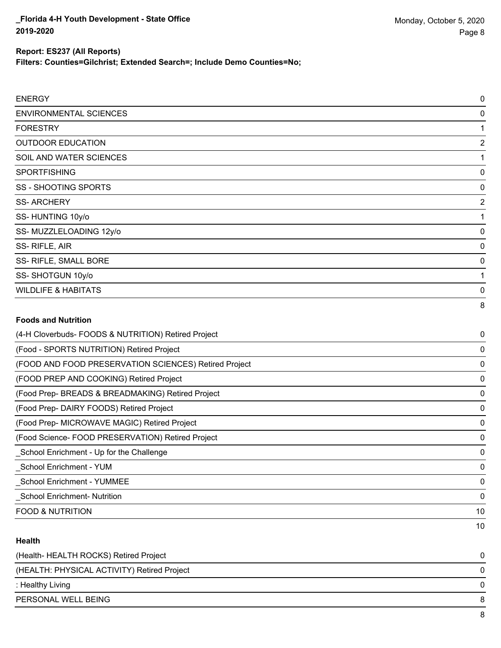10

### **Report: ES237 (All Reports)**

**Filters: Counties=Gilchrist; Extended Search=; Include Demo Counties=No;**

| <b>ENERGY</b>                                         | $\mathbf 0$    |
|-------------------------------------------------------|----------------|
| <b>ENVIRONMENTAL SCIENCES</b>                         | 0              |
| <b>FORESTRY</b>                                       | 1              |
| <b>OUTDOOR EDUCATION</b>                              | $\overline{2}$ |
| SOIL AND WATER SCIENCES                               | 1              |
| <b>SPORTFISHING</b>                                   | 0              |
| <b>SS - SHOOTING SPORTS</b>                           | 0              |
| <b>SS-ARCHERY</b>                                     | $\overline{2}$ |
| SS-HUNTING 10y/o                                      | 1              |
| SS-MUZZLELOADING 12y/o                                | $\mathbf 0$    |
| SS-RIFLE, AIR                                         | 0              |
| SS- RIFLE, SMALL BORE                                 | $\mathbf 0$    |
| SS-SHOTGUN 10y/o                                      | 1              |
| <b>WILDLIFE &amp; HABITATS</b>                        | 0              |
|                                                       | 8              |
| <b>Foods and Nutrition</b>                            |                |
| (4-H Cloverbuds- FOODS & NUTRITION) Retired Project   | 0              |
| (Food - SPORTS NUTRITION) Retired Project             | 0              |
| (FOOD AND FOOD PRESERVATION SCIENCES) Retired Project | 0              |
| (FOOD PREP AND COOKING) Retired Project               | $\mathbf 0$    |
| (Food Prep- BREADS & BREADMAKING) Retired Project     | 0              |
| (Food Prep- DAIRY FOODS) Retired Project              | $\mathbf 0$    |
| (Food Prep- MICROWAVE MAGIC) Retired Project          | 0              |
| (Food Science- FOOD PRESERVATION) Retired Project     | 0              |
| _School Enrichment - Up for the Challenge             | 0              |
| School Enrichment - YUM                               | 0              |
| School Enrichment - YUMMEE                            | 0              |
| School Enrichment- Nutrition                          | 0              |
| <b>FOOD &amp; NUTRITION</b>                           | 10             |

#### **Health**

| (Health-HEALTH ROCKS) Retired Project       |   |
|---------------------------------------------|---|
| (HEALTH: PHYSICAL ACTIVITY) Retired Project | 0 |
| : Healthy Living                            | 0 |
| PERSONAL WELL BEING                         |   |
|                                             |   |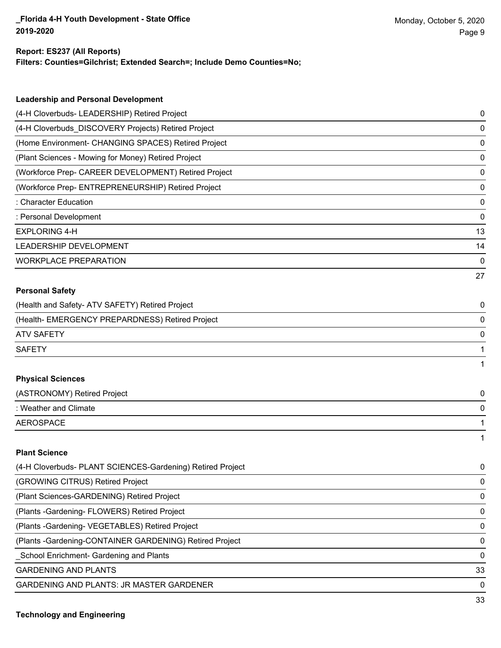#### **Report: ES237 (All Reports)**

**Filters: Counties=Gilchrist; Extended Search=; Include Demo Counties=No;**

| <b>Leadership and Personal Development</b>                 |    |
|------------------------------------------------------------|----|
| (4-H Cloverbuds- LEADERSHIP) Retired Project               | 0  |
| (4-H Cloverbuds_DISCOVERY Projects) Retired Project        | 0  |
| (Home Environment- CHANGING SPACES) Retired Project        | 0  |
| (Plant Sciences - Mowing for Money) Retired Project        | 0  |
| (Workforce Prep- CAREER DEVELOPMENT) Retired Project       | 0  |
| (Workforce Prep- ENTREPRENEURSHIP) Retired Project         | 0  |
| : Character Education                                      | 0  |
| : Personal Development                                     | 0  |
| <b>EXPLORING 4-H</b>                                       | 13 |
| LEADERSHIP DEVELOPMENT                                     | 14 |
| <b>WORKPLACE PREPARATION</b>                               | 0  |
|                                                            | 27 |
| <b>Personal Safety</b>                                     |    |
| (Health and Safety- ATV SAFETY) Retired Project            | 0  |
| (Health- EMERGENCY PREPARDNESS) Retired Project            | 0  |
| <b>ATV SAFETY</b>                                          | 0  |
| <b>SAFETY</b>                                              | 1  |
|                                                            | 1  |
| <b>Physical Sciences</b>                                   |    |
| (ASTRONOMY) Retired Project                                | 0  |
| : Weather and Climate                                      | 0  |
| <b>AEROSPACE</b>                                           | 1  |
|                                                            | 1  |
| <b>Plant Science</b>                                       |    |
| (4-H Cloverbuds- PLANT SCIENCES-Gardening) Retired Project | 0  |
| (GROWING CITRUS) Retired Project                           | 0  |
| (Plant Sciences-GARDENING) Retired Project                 | 0  |
| (Plants - Gardening - FLOWERS) Retired Project             | 0  |
| (Plants - Gardening - VEGETABLES) Retired Project          | 0  |
| (Plants - Gardening-CONTAINER GARDENING) Retired Project   | 0  |
| School Enrichment- Gardening and Plants                    | 0  |

GARDENING AND PLANTS 33

GARDENING AND PLANTS: JR MASTER GARDENER 0